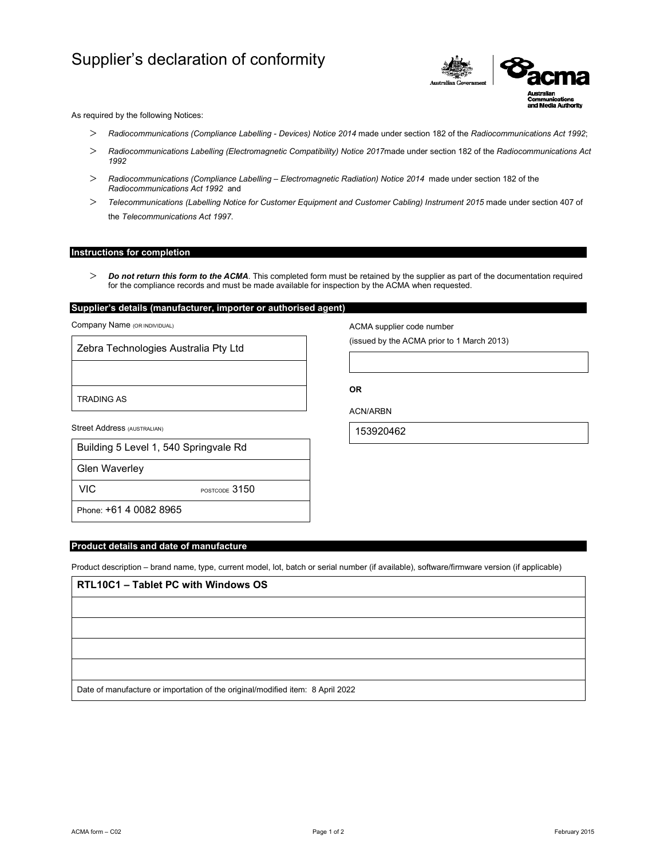# Supplier's declaration of conformity



As required by the following Notices:

- *Radiocommunications (Compliance Labelling Devices) Notice 2014* made under section 182 of the *Radiocommunications Act 1992*;
- *Radiocommunications Labelling (Electromagnetic Compatibility) Notice 2017*made under section 182 of the *Radiocommunications Act 1992*
- *Radiocommunications (Compliance Labelling Electromagnetic Radiation) Notice 2014* made under section 182 of the *Radiocommunications Act 1992* and
- *Telecommunications (Labelling Notice for Customer Equipment and Customer Cabling) Instrument 2015* made under section 407 of the *Telecommunications Act 1997*.

### **Instructions for completion**

 *Do not return this form to the ACMA*. This completed form must be retained by the supplier as part of the documentation required for the compliance records and must be made available for inspection by the ACMA when requested.

## **Supplier's details (manufacturer, importer or authorised agent)**

Company Name (OR INDIVIDUAL)

Zebra Technologies Australia Pty Ltd

TRADING AS

Street Address (AUSTRALIAN)

| Building 5 Level 1, 540 Springvale Rd |
|---------------------------------------|
|                                       |

Glen Waverley

VIC POSTCODE 3150

Phone: +61 4 0082 8965

## **Product details and date of manufacture**

Product description – brand name, type, current model, lot, batch or serial number (if available), software/firmware version (if applicable)

| RTL10C1 - Tablet PC with Windows OS                                            |  |
|--------------------------------------------------------------------------------|--|
|                                                                                |  |
|                                                                                |  |
|                                                                                |  |
|                                                                                |  |
| Date of manufacture or importation of the original/modified item: 8 April 2022 |  |

ACMA supplier code number

(issued by the ACMA prior to 1 March 2013)

**OR** 

ACN/ARBN

153920462